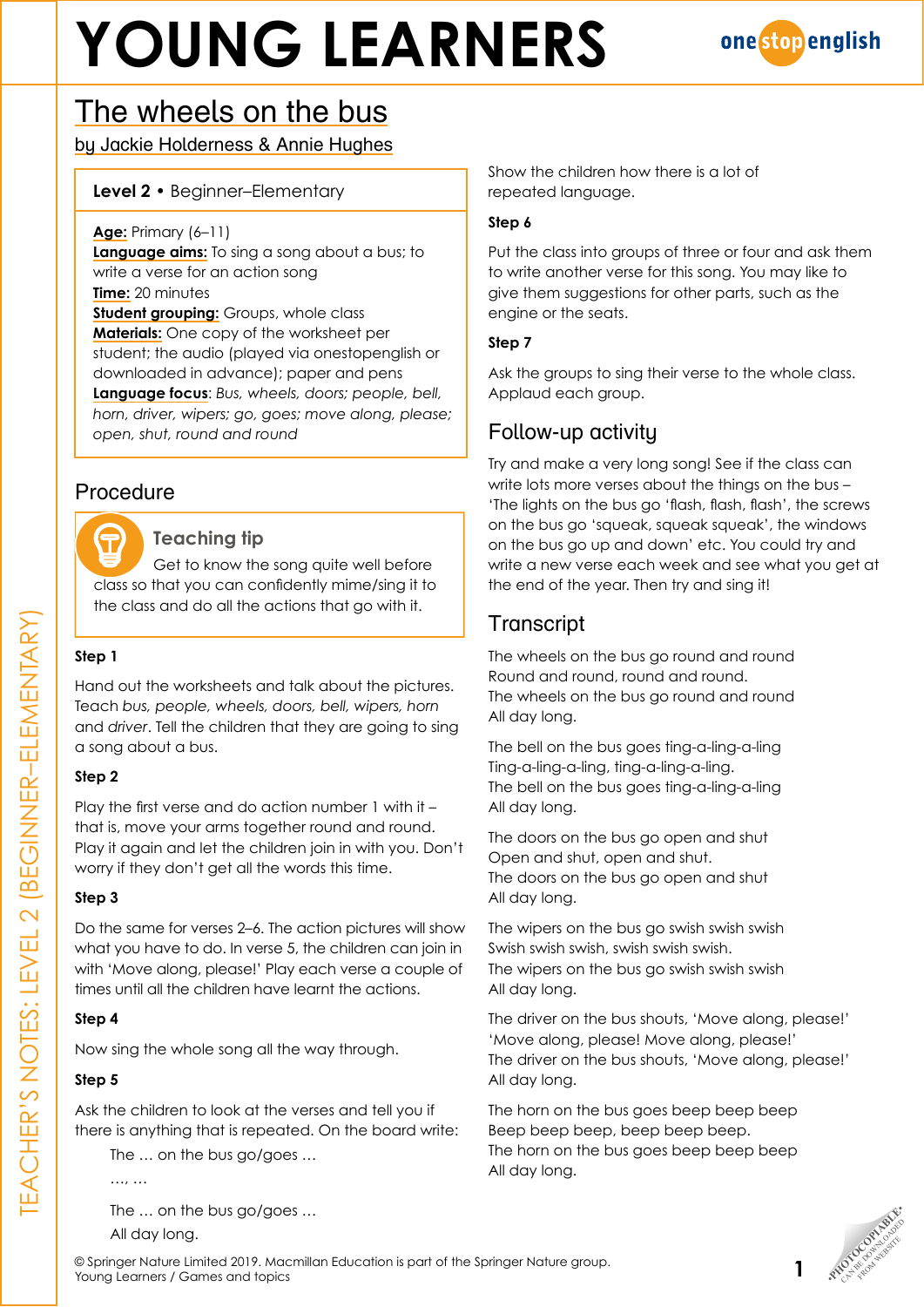# **YOUNG LEARNERS**



## The wheels on the bus

by Jackie Holderness & Annie Hughes

#### **Level 2** • Beginner–Elementary

**Age:** Primary (6–11)

**Language aims:** To sing a song about a bus; to write a verse for an action song **Time:** 20 minutes **Student grouping:** Groups, whole class **Materials:** One copy of the worksheet per student; the audio (played via onestopenglish or downloaded in advance); paper and pens **Language focus**: *Bus, wheels, doors; people, bell, horn, driver, wipers; go, goes; move along, please; open, shut, round and round*

### Procedure



#### **Teaching tip**

Get to know the song quite well before class so that you can confidently mime/sing it to the class and do all the actions that go with it.

#### **Step 1**

Hand out the worksheets and talk about the pictures. Teach *bus, people, wheels, doors, bell, wipers, horn* and *driver*. Tell the children that they are going to sing a song about a bus.

#### **Step 2**

Play the first verse and do action number 1 with it – that is, move your arms together round and round. Play it again and let the children join in with you. Don't worry if they don't get all the words this time.

#### **Step 3**

Do the same for verses 2–6. The action pictures will show what you have to do. In verse 5, the children can join in with 'Move along, please!' Play each verse a couple of times until all the children have learnt the actions.

#### **Step 4**

Now sing the whole song all the way through.

#### **Step 5**

Ask the children to look at the verses and tell you if there is anything that is repeated. On the board write:

The … on the bus go/goes …

…, …

The … on the bus go/goes …

All day long.

© Springer Nature Limited 2019. Macmillan Education is part of the Springer Nature group. The ... on the bus go/goes ...<br>All day long.<br>
© Springer Nature Limited 2019. Macmillan Education is part of the Springer Nature group.<br>
Young Learners / Games and topics

Show the children how there is a lot of repeated language.

#### **Step 6**

Put the class into groups of three or four and ask them to write another verse for this song. You may like to give them suggestions for other parts, such as the engine or the seats.

#### **Step 7**

Ask the groups to sing their verse to the whole class. Applaud each group.

### Follow-up activity

Try and make a very long song! See if the class can write lots more verses about the things on the bus – 'The lights on the bus go 'flash, flash, flash', the screws on the bus go 'squeak, squeak squeak', the windows on the bus go up and down' etc. You could try and write a new verse each week and see what you get at the end of the year. Then try and sing it!

## **Transcript**

The wheels on the bus go round and round Round and round, round and round. The wheels on the bus go round and round All day long.

The bell on the bus goes ting-a-ling-a-ling Ting-a-ling-a-ling, ting-a-ling-a-ling. The bell on the bus goes ting-a-ling-a-ling All day long.

The doors on the bus go open and shut Open and shut, open and shut. The doors on the bus go open and shut All day long.

The wipers on the bus go swish swish swish Swish swish swish, swish swish swish. The wipers on the bus go swish swish swish All day long.

The driver on the bus shouts, 'Move along, please!' 'Move along, please! Move along, please!' The driver on the bus shouts, 'Move along, please!' All day long.

The horn on the bus goes beep beep beep Beep beep beep, beep beep beep. The horn on the bus goes beep beep beep All day long.



**1**